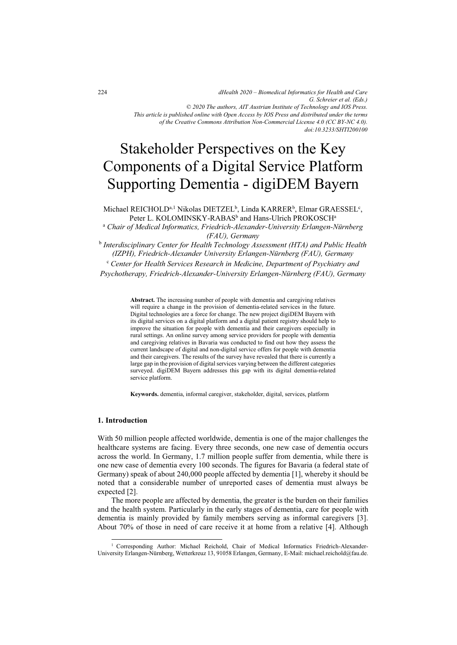*dHealth 2020 – Biomedical Informatics for Health and Care G. Schreier et al. (Eds.) © 2020 The authors, AIT Austrian Institute of Technology and IOS Press. This article is published online with Open Access by IOS Press and distributed under the terms of the Creative Commons Attribution Non-Commercial License 4.0 (CC BY-NC 4.0). doi:10.3233/SHTI200100*

# Stakeholder Perspectives on the Key Components of a Digital Service Platform Supporting Dementia - digiDEM Bayern

Michael REICHOLD<sup>a, 1</sup> Nikolas DIETZEL<sup>b</sup>, Linda KARRER<sup>b</sup>, Elmar GRAESSEL<sup>c</sup>, Peter L. KOLOMINSKY-RABAS<sup>b</sup> and Hans-Ulrich PROKOSCH<sup>a</sup>

<sup>a</sup>*Chair of Medical Informatics, Friedrich-Alexander-University Erlangen-Nürnberg (FAU), Germany* 

<sup>b</sup>*Interdisciplinary Center for Health Technology Assessment (HTA) and Public Health (IZPH), Friedrich-Alexander University Erlangen-Nürnberg (FAU), Germany* 

<sup>c</sup>*Center for Health Services Research in Medicine, Department of Psychiatry and Psychotherapy, Friedrich-Alexander-University Erlangen-Nürnberg (FAU), Germany* 

> **Abstract.** The increasing number of people with dementia and caregiving relatives will require a change in the provision of dementia-related services in the future. Digital technologies are a force for change. The new project digiDEM Bayern with its digital services on a digital platform and a digital patient registry should help to improve the situation for people with dementia and their caregivers especially in rural settings. An online survey among service providers for people with dementia and caregiving relatives in Bavaria was conducted to find out how they assess the current landscape of digital and non-digital service offers for people with dementia and their caregivers. The results of the survey have revealed that there is currently a large gap in the provision of digital services varying between the different categories surveyed. digiDEM Bayern addresses this gap with its digital dementia-related service platform.

**Keywords.** dementia, informal caregiver, stakeholder, digital, services, platform

#### **1. Introduction**

j

With 50 million people affected worldwide, dementia is one of the major challenges the healthcare systems are facing. Every three seconds, one new case of dementia occurs across the world. In Germany, 1.7 million people suffer from dementia, while there is one new case of dementia every 100 seconds. The figures for Bavaria (a federal state of Germany) speak of about 240,000 people affected by dementia [1], whereby it should be noted that a considerable number of unreported cases of dementia must always be expected [2].

The more people are affected by dementia, the greater is the burden on their families and the health system. Particularly in the early stages of dementia, care for people with dementia is mainly provided by family members serving as informal caregivers [3]. About 70% of those in need of care receive it at home from a relative [4]. Although

<sup>1</sup> Corresponding Author: Michael Reichold, Chair of Medical Informatics Friedrich-Alexander-University Erlangen-Nürnberg, Wetterkreuz 13, 91058 Erlangen, Germany, E-Mail: michael.reichold@fau.de.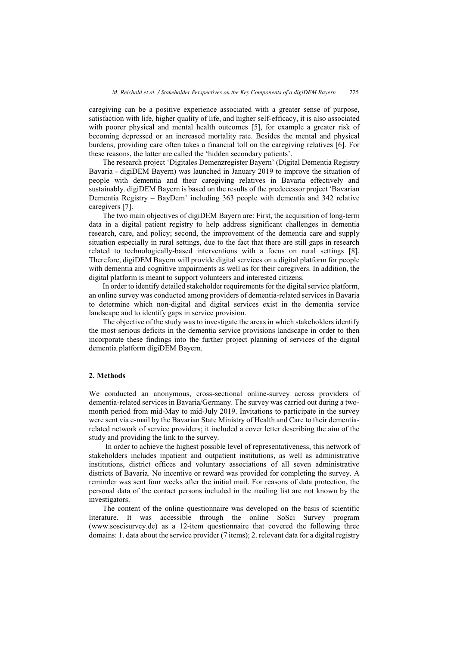caregiving can be a positive experience associated with a greater sense of purpose, satisfaction with life, higher quality of life, and higher self-efficacy, it is also associated with poorer physical and mental health outcomes [5], for example a greater risk of becoming depressed or an increased mortality rate. Besides the mental and physical burdens, providing care often takes a financial toll on the caregiving relatives [6]. For these reasons, the latter are called the 'hidden secondary patients'.

The research project 'Digitales Demenzregister Bayern' (Digital Dementia Registry Bavaria - digiDEM Bayern) was launched in January 2019 to improve the situation of people with dementia and their caregiving relatives in Bavaria effectively and sustainably. digiDEM Bayern is based on the results of the predecessor project 'Bavarian Dementia Registry – BayDem' including 363 people with dementia and 342 relative caregivers [7].

The two main objectives of digiDEM Bayern are: First, the acquisition of long-term data in a digital patient registry to help address significant challenges in dementia research, care, and policy; second, the improvement of the dementia care and supply situation especially in rural settings, due to the fact that there are still gaps in research related to technologically-based interventions with a focus on rural settings [8]. Therefore, digiDEM Bayern will provide digital services on a digital platform for people with dementia and cognitive impairments as well as for their caregivers. In addition, the digital platform is meant to support volunteers and interested citizens.

In order to identify detailed stakeholder requirements for the digital service platform, an online survey was conducted among providers of dementia-related services in Bavaria to determine which non-digital and digital services exist in the dementia service landscape and to identify gaps in service provision.

The objective of the study was to investigate the areas in which stakeholders identify the most serious deficits in the dementia service provisions landscape in order to then incorporate these findings into the further project planning of services of the digital dementia platform digiDEM Bayern.

# **2. Methods**

We conducted an anonymous, cross-sectional online-survey across providers of dementia-related services in Bavaria/Germany. The survey was carried out during a twomonth period from mid-May to mid-July 2019. Invitations to participate in the survey were sent via e-mail by the Bavarian State Ministry of Health and Care to their dementiarelated network of service providers; it included a cover letter describing the aim of the study and providing the link to the survey.

In order to achieve the highest possible level of representativeness, this network of stakeholders includes inpatient and outpatient institutions, as well as administrative institutions, district offices and voluntary associations of all seven administrative districts of Bavaria. No incentive or reward was provided for completing the survey. A reminder was sent four weeks after the initial mail. For reasons of data protection, the personal data of the contact persons included in the mailing list are not known by the investigators.

The content of the online questionnaire was developed on the basis of scientific literature. It was accessible through the online SoSci Survey program (www.soscisurvey.de) as a 12-item questionnaire that covered the following three domains: 1. data about the service provider (7 items); 2. relevant data for a digital registry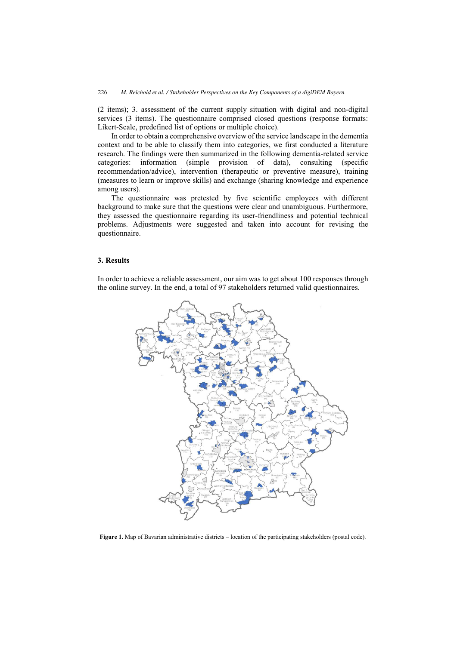(2 items); 3. assessment of the current supply situation with digital and non-digital services (3 items). The questionnaire comprised closed questions (response formats: Likert-Scale, predefined list of options or multiple choice).

In order to obtain a comprehensive overview of the service landscape in the dementia context and to be able to classify them into categories, we first conducted a literature research. The findings were then summarized in the following dementia-related service categories: information (simple provision of data), consulting (specific recommendation/advice), intervention (therapeutic or preventive measure), training (measures to learn or improve skills) and exchange (sharing knowledge and experience among users).

The questionnaire was pretested by five scientific employees with different background to make sure that the questions were clear and unambiguous. Furthermore, they assessed the questionnaire regarding its user-friendliness and potential technical problems. Adjustments were suggested and taken into account for revising the questionnaire.

# **3. Results**

In order to achieve a reliable assessment, our aim was to get about 100 responses through the online survey. In the end, a total of 97 stakeholders returned valid questionnaires.



**Figure 1.** Map of Bavarian administrative districts – location of the participating stakeholders (postal code).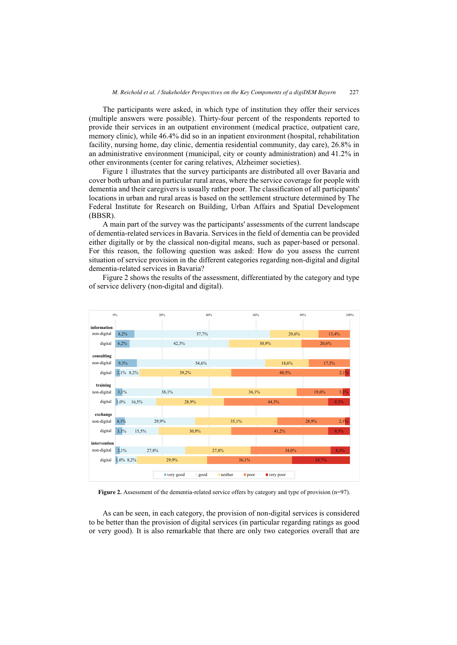The participants were asked, in which type of institution they offer their services (multiple answers were possible). Thirty-four percent of the respondents reported to provide their services in an outpatient environment (medical practice, outpatient care, memory clinic), while 46.4% did so in an inpatient environment (hospital, rehabilitation facility, nursing home, day clinic, dementia residential community, day care), 26.8% in an administrative environment (municipal, city or county administration) and 41.2% in other environments (center for caring relatives, Alzheimer societies).

Figure 1 illustrates that the survey participants are distributed all over Bavaria and cover both urban and in particular rural areas, where the service coverage for people with dementia and their caregivers is usually rather poor. The classification of all participants' locations in urban and rural areas is based on the settlement structure determined by The Federal Institute for Research on Building, Urban Affairs and Spatial Development (BBSR).

A main part of the survey was the participants' assessments of the current landscape of dementia-related services in Bavaria. Services in the field of dementia can be provided either digitally or by the classical non-digital means, such as paper-based or personal. For this reason, the following question was asked: How do you assess the current situation of service provision in the different categories regarding non-digital and digital dementia-related services in Bavaria?

Figure 2 shows the results of the assessment, differentiated by the category and type of service delivery (non-digital and digital).



**Figure 2.** Assessment of the dementia-related service offers by category and type of provision (n=97).

As can be seen, in each category, the provision of non-digital services is considered to be better than the provision of digital services (in particular regarding ratings as good or very good). It is also remarkable that there are only two categories overall that are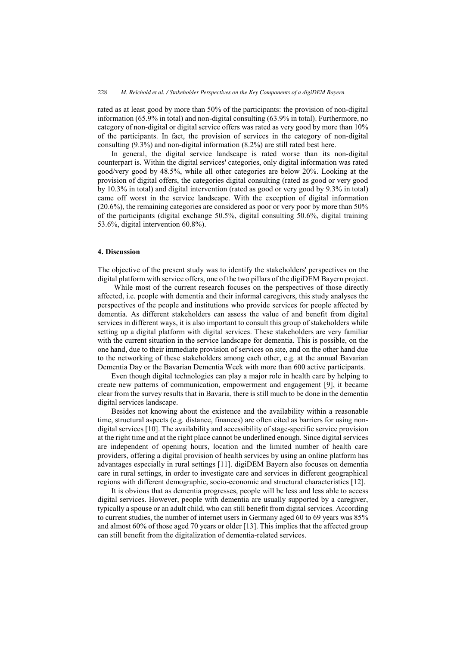rated as at least good by more than 50% of the participants: the provision of non-digital information (65.9% in total) and non-digital consulting (63.9% in total). Furthermore, no category of non-digital or digital service offers was rated as very good by more than 10% of the participants. In fact, the provision of services in the category of non-digital consulting (9.3%) and non-digital information (8.2%) are still rated best here.

In general, the digital service landscape is rated worse than its non-digital counterpart is. Within the digital services' categories, only digital information was rated good/very good by 48.5%, while all other categories are below 20%. Looking at the provision of digital offers, the categories digital consulting (rated as good or very good by 10.3% in total) and digital intervention (rated as good or very good by 9.3% in total) came off worst in the service landscape. With the exception of digital information (20.6%), the remaining categories are considered as poor or very poor by more than 50% of the participants (digital exchange 50.5%, digital consulting 50.6%, digital training 53.6%, digital intervention 60.8%).

### **4. Discussion**

The objective of the present study was to identify the stakeholders' perspectives on the digital platform with service offers, one of the two pillars of the digiDEM Bayern project.

While most of the current research focuses on the perspectives of those directly affected, i.e. people with dementia and their informal caregivers, this study analyses the perspectives of the people and institutions who provide services for people affected by dementia. As different stakeholders can assess the value of and benefit from digital services in different ways, it is also important to consult this group of stakeholders while setting up a digital platform with digital services. These stakeholders are very familiar with the current situation in the service landscape for dementia. This is possible, on the one hand, due to their immediate provision of services on site, and on the other hand due to the networking of these stakeholders among each other, e.g. at the annual Bavarian Dementia Day or the Bavarian Dementia Week with more than 600 active participants.

Even though digital technologies can play a major role in health care by helping to create new patterns of communication, empowerment and engagement [9], it became clear from the survey results that in Bavaria, there is still much to be done in the dementia digital services landscape.

Besides not knowing about the existence and the availability within a reasonable time, structural aspects (e.g. distance, finances) are often cited as barriers for using nondigital services [10]. The availability and accessibility of stage-specific service provision at the right time and at the right place cannot be underlined enough. Since digital services are independent of opening hours, location and the limited number of health care providers, offering a digital provision of health services by using an online platform has advantages especially in rural settings [11]. digiDEM Bayern also focuses on dementia care in rural settings, in order to investigate care and services in different geographical regions with different demographic, socio-economic and structural characteristics [12].

It is obvious that as dementia progresses, people will be less and less able to access digital services. However, people with dementia are usually supported by a caregiver, typically a spouse or an adult child, who can still benefit from digital services. According to current studies, the number of internet users in Germany aged 60 to 69 years was 85% and almost 60% of those aged 70 years or older [13]. This implies that the affected group can still benefit from the digitalization of dementia-related services.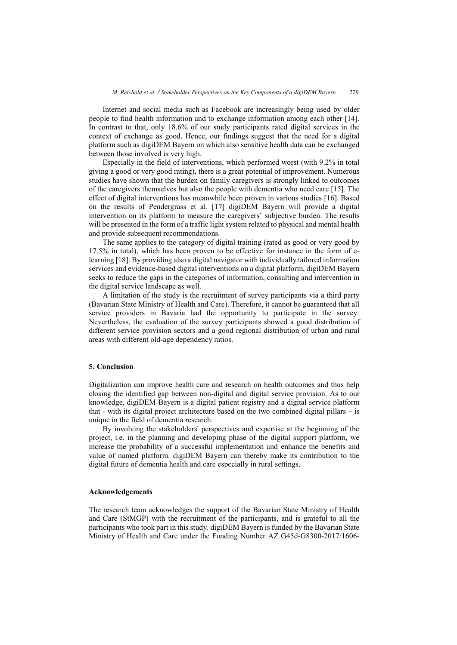Internet and social media such as Facebook are increasingly being used by older people to find health information and to exchange information among each other [14]. In contrast to that, only 18.6% of our study participants rated digital services in the context of exchange as good. Hence, our findings suggest that the need for a digital platform such as digiDEM Bayern on which also sensitive health data can be exchanged between those involved is very high.

Especially in the field of interventions, which performed worst (with 9.2% in total giving a good or very good rating), there is a great potential of improvement. Numerous studies have shown that the burden on family caregivers is strongly linked to outcomes of the caregivers themselves but also the people with dementia who need care [15]. The effect of digital interventions has meanwhile been proven in various studies [16]. Based on the results of Pendergrass et al. [17] digiDEM Bayern will provide a digital intervention on its platform to measure the caregivers' subjective burden. The results will be presented in the form of a traffic light system related to physical and mental health and provide subsequent recommendations.

The same applies to the category of digital training (rated as good or very good by 17.5% in total), which has been proven to be effective for instance in the form of elearning [18]. By providing also a digital navigator with individually tailored information services and evidence-based digital interventions on a digital platform, digiDEM Bayern seeks to reduce the gaps in the categories of information, consulting and intervention in the digital service landscape as well.

A limitation of the study is the recruitment of survey participants via a third party (Bavarian State Ministry of Health and Care). Therefore, it cannot be guaranteed that all service providers in Bavaria had the opportunity to participate in the survey. Nevertheless, the evaluation of the survey participants showed a good distribution of different service provision sectors and a good regional distribution of urban and rural areas with different old-age dependency ratios.

## **5. Conclusion**

Digitalization can improve health care and research on health outcomes and thus help closing the identified gap between non-digital and digital service provision. As to our knowledge, digiDEM Bayern is a digital patient registry and a digital service platform that - with its digital project architecture based on the two combined digital pillars – is unique in the field of dementia research.

By involving the stakeholders' perspectives and expertise at the beginning of the project, i.e. in the planning and developing phase of the digital support platform, we increase the probability of a successful implementation and enhance the benefits and value of named platform. digiDEM Bayern can thereby make its contribution to the digital future of dementia health and care especially in rural settings.

#### **Acknowledgements**

The research team acknowledges the support of the Bavarian State Ministry of Health and Care (StMGP) with the recruitment of the participants, and is grateful to all the participants who took part in this study. digiDEM Bayern is funded by the Bavarian State Ministry of Health and Care under the Funding Number AZ G45d-G8300-2017/1606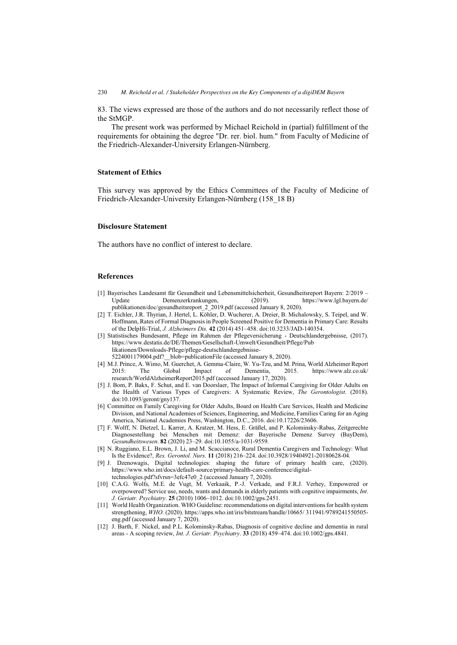83. The views expressed are those of the authors and do not necessarily reflect those of the StMGP.

The present work was performed by Michael Reichold in (partial) fulfillment of the requirements for obtaining the degree "Dr. rer. biol. hum." from Faculty of Medicine of the Friedrich-Alexander-University Erlangen-Nürnberg.

## **Statement of Ethics**

This survey was approved by the Ethics Committees of the Faculty of Medicine of Friedrich-Alexander-University Erlangen-Nürnberg (158\_18 B)

## **Disclosure Statement**

The authors have no conflict of interest to declare.

# **References**

- [1] Bayerisches Landesamt für Gesundheit und Lebensmittelsicherheit, Gesundheitsreport Bayern: 2/2019 Update Demenzerkrankungen, (2019). https://www.lgl.bayern.de/ publikationen/doc/gesundheitsreport\_2\_2019.pdf (accessed January 8, 2020).
- [2] T. Eichler, J.R. Thyrian, J. Hertel, L. Köhler, D. Wucherer, A. Dreier, B. Michalowsky, S. Teipel, and W. Hoffmann, Rates of Formal Diagnosis in People Screened Positive for Dementia in Primary Care: Results of the DelpHi-Trial, *J. Alzheimers Dis.* **42** (2014) 451–458. doi:10.3233/JAD-140354.
- [3] Statistisches Bundesamt, Pflege im Rahmen der Pflegeversicherung Deutschlandergebnisse, (2017). https://www.destatis.de/DE/Themen/Gesellschaft-Umwelt/Gesundheit/Pflege/Pub likationen/Downloads-Pflege/pflege-deutschlandergebnisse-5224001179004.pdf?\_blob=publicationFile (accessed January 8, 2020).
- [4] M.J. Prince, A. Wimo, M. Guerchet, A. Gemma-Claire, W. Yu-Tzu, and M. Prina, World Alzheimer Report 2015: The Global Impact of Dementia, 2015. https://www.alz.co.uk/ research/WorldAlzheimerReport2015.pdf (accessed January 17, 2020).
- [5] J. Bom, P. Bakx, F. Schut, and E. van Doorslaer, The Impact of Informal Caregiving for Older Adults on the Health of Various Types of Caregivers: A Systematic Review, *The Gerontologist*. (2018). doi:10.1093/geront/gny137.
- [6] Committee on Family Caregiving for Older Adults, Board on Health Care Services, Health and Medicine Division, and National Academies of Sciences, Engineering, and Medicine, Families Caring for an Aging America, National Academies Press, Washington, D.C., 2016. doi:10.17226/23606.
- [7] F. Wolff, N. Dietzel, L. Karrer, A. Kratzer, M. Hess, E. Gräßel, and P. Kolominsky-Rabas, Zeitgerechte Diagnosestellung bei Menschen mit Demenz: der Bayerische Demenz Survey (BayDem), *Gesundheitswesen*. **82** (2020) 23–29. doi:10.1055/a-1031-9559.
- [8] N. Ruggiano, E.L. Brown, J. Li, and M. Scaccianoce, Rural Dementia Caregivers and Technology: What Is the Evidence?, *Res. Gerontol. Nurs.* **11** (2018) 216–224. doi:10.3928/19404921-20180628-04.
- [9] J. Dzenowagis, Digital technologies: shaping the future of primary health care, (2020). https://www.who.int/docs/default-source/primary-health-care-conference/digitaltechnologies.pdf?sfvrsn=3efc47e0\_2 (accessed January 7, 2020).
- [10] C.A.G. Wolfs, M.E. de Vugt, M. Verkaaik, P.-J. Verkade, and F.R.J. Verhey, Empowered or overpowered? Service use, needs, wants and demands in elderly patients with cognitive impairments, *Int. J. Geriatr. Psychiatry*. **25** (2010) 1006–1012. doi:10.1002/gps.2451.
- [11] World Health Organization. WHO Guideline: recommendations on digital interventions for health system strengthening, *WHO*. (2020). https://apps.who.int/iris/bitstream/handle/10665/ 311941/9789241550505 eng.pdf (accessed January 7, 2020).
- [12] J. Barth, F. Nickel, and P.L. Kolominsky-Rabas, Diagnosis of cognitive decline and dementia in rural areas - A scoping review, *Int. J. Geriatr. Psychiatry*. **33** (2018) 459–474. doi:10.1002/gps.4841.